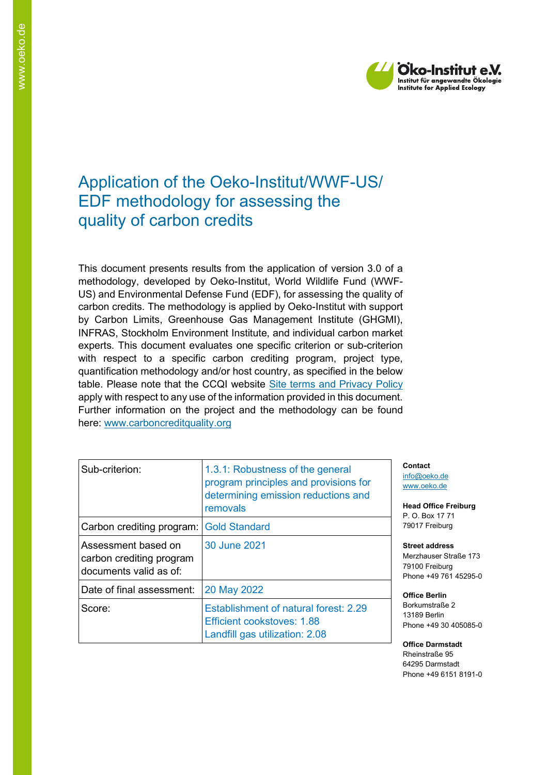

# Application of the Oeko-Institut/WWF-US/ EDF methodology for assessing the quality of carbon credits

This document presents results from the application of version 3.0 of a methodology, developed by Oeko-Institut, World Wildlife Fund (WWF-US) and Environmental Defense Fund (EDF), for assessing the quality of carbon credits. The methodology is applied by Oeko-Institut with support by Carbon Limits, Greenhouse Gas Management Institute (GHGMI), INFRAS, Stockholm Environment Institute, and individual carbon market experts. This document evaluates one specific criterion or sub-criterion with respect to a specific carbon crediting program, project type, quantification methodology and/or host country, as specified in the below table. Please note that the CCQI website [Site terms and Privacy Policy](https://carboncreditquality.org/terms.html) apply with respect to any use of the information provided in this document. Further information on the project and the methodology can be found here: [www.carboncreditquality.org](http://www.carboncreditquality.org/)

| Sub-criterion:                                                            | 1.3.1: Robustness of the general<br>program principles and provisions for<br>determining emission reductions and<br>removals |
|---------------------------------------------------------------------------|------------------------------------------------------------------------------------------------------------------------------|
| Carbon crediting program: Gold Standard                                   |                                                                                                                              |
| Assessment based on<br>carbon crediting program<br>documents valid as of: | 30 June 2021                                                                                                                 |
| Date of final assessment:                                                 | 20 May 2022                                                                                                                  |
| Score:                                                                    | Establishment of natural forest: 2.29<br>Efficient cookstoves: 1.88<br>Landfill gas utilization: 2.08                        |

**Contact** [info@oeko.de](mailto:info@oeko.de) [www.oeko.de](http://www.oeko.de/)

**Head Office Freiburg** P. O. Box 17 71 79017 Freiburg

**Street address** Merzhauser Straße 173 79100 Freiburg Phone +49 761 45295-0

**Office Berlin** Borkumstraße 2 13189 Berlin Phone +49 30 405085-0

**Office Darmstadt** Rheinstraße 95 64295 Darmstadt Phone +49 6151 8191-0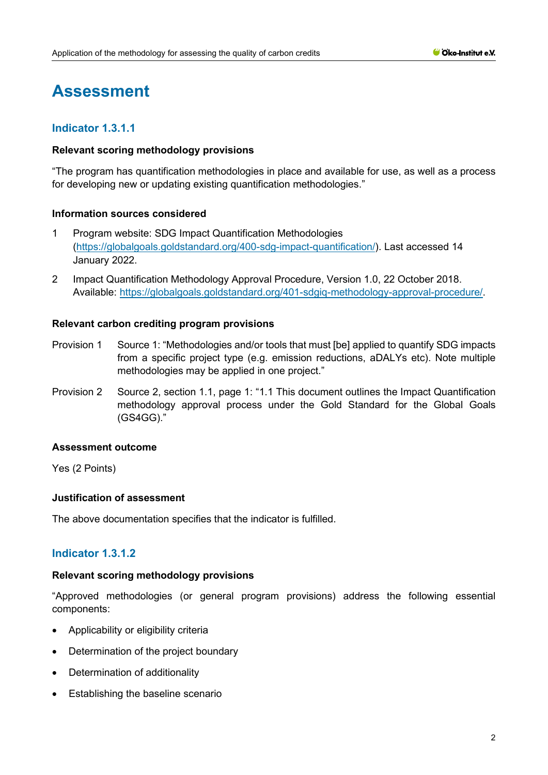# **Assessment**

# **Indicator 1.3.1.1**

### **Relevant scoring methodology provisions**

"The program has quantification methodologies in place and available for use, as well as a process for developing new or updating existing quantification methodologies."

### **Information sources considered**

- 1 Program website: SDG Impact Quantification Methodologies [\(https://globalgoals.goldstandard.org/400-sdg-impact-quantification/\)](https://globalgoals.goldstandard.org/400-sdg-impact-quantification/). Last accessed 14 January 2022.
- 2 Impact Quantification Methodology Approval Procedure, Version 1.0, 22 October 2018. Available: [https://globalgoals.goldstandard.org/401-sdgiq-methodology-approval-procedure/.](https://globalgoals.goldstandard.org/401-sdgiq-methodology-approval-procedure/)

### **Relevant carbon crediting program provisions**

- Provision 1 Source 1: "Methodologies and/or tools that must [be] applied to quantify SDG impacts from a specific project type (e.g. emission reductions, aDALYs etc). Note multiple methodologies may be applied in one project."
- Provision 2 Source 2, section 1.1, page 1: "1.1 This document outlines the Impact Quantification methodology approval process under the Gold Standard for the Global Goals (GS4GG)."

# **Assessment outcome**

Yes (2 Points)

#### **Justification of assessment**

The above documentation specifies that the indicator is fulfilled.

# **Indicator 1.3.1.2**

# **Relevant scoring methodology provisions**

"Approved methodologies (or general program provisions) address the following essential components:

- Applicability or eligibility criteria
- Determination of the project boundary
- Determination of additionality
- Establishing the baseline scenario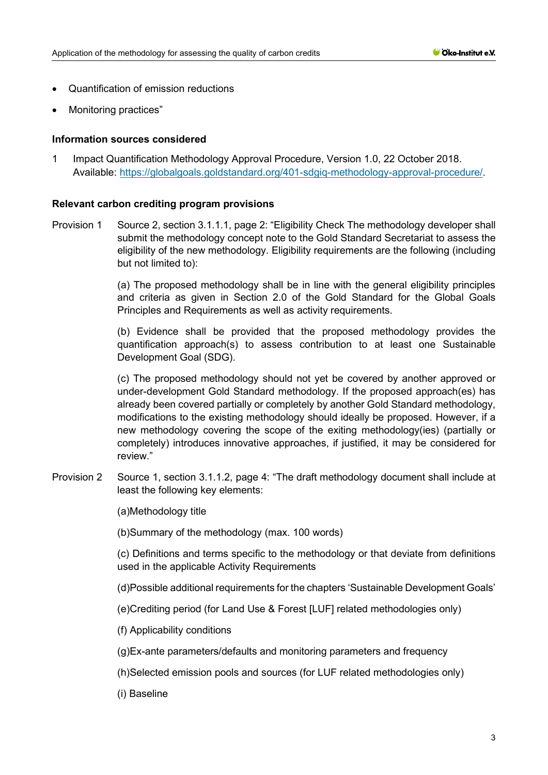- Quantification of emission reductions
- Monitoring practices"

1 Impact Quantification Methodology Approval Procedure, Version 1.0, 22 October 2018. Available: [https://globalgoals.goldstandard.org/401-sdgiq-methodology-approval-procedure/.](https://globalgoals.goldstandard.org/401-sdgiq-methodology-approval-procedure/)

#### **Relevant carbon crediting program provisions**

Provision 1 Source 2, section 3.1.1.1, page 2: "Eligibility Check The methodology developer shall submit the methodology concept note to the Gold Standard Secretariat to assess the eligibility of the new methodology. Eligibility requirements are the following (including but not limited to):

> (a) The proposed methodology shall be in line with the general eligibility principles and criteria as given in Section 2.0 of the Gold Standard for the Global Goals Principles and Requirements as well as activity requirements.

> (b) Evidence shall be provided that the proposed methodology provides the quantification approach(s) to assess contribution to at least one Sustainable Development Goal (SDG).

> (c) The proposed methodology should not yet be covered by another approved or under-development Gold Standard methodology. If the proposed approach(es) has already been covered partially or completely by another Gold Standard methodology, modifications to the existing methodology should ideally be proposed. However, if a new methodology covering the scope of the exiting methodology(ies) (partially or completely) introduces innovative approaches, if justified, it may be considered for review"

Provision 2 Source 1, section 3.1.1.2, page 4: "The draft methodology document shall include at least the following key elements:

(a)Methodology title

(b)Summary of the methodology (max. 100 words)

(c) Definitions and terms specific to the methodology or that deviate from definitions used in the applicable Activity Requirements

- (d)Possible additional requirements for the chapters 'Sustainable Development Goals'
- (e)Crediting period (for Land Use & Forest [LUF] related methodologies only)
- (f) Applicability conditions
- (g)Ex-ante parameters/defaults and monitoring parameters and frequency
- (h)Selected emission pools and sources (for LUF related methodologies only)
- (i) Baseline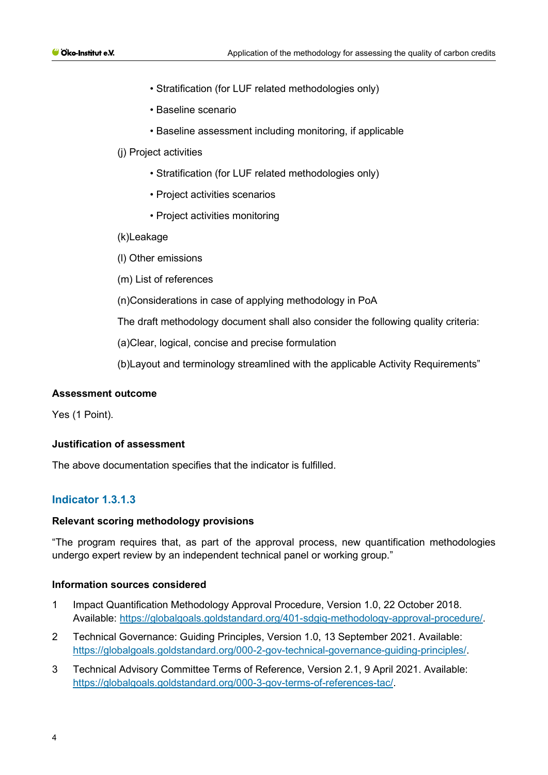- Stratification (for LUF related methodologies only)
- Baseline scenario
- Baseline assessment including monitoring, if applicable
- (j) Project activities
	- Stratification (for LUF related methodologies only)
	- Project activities scenarios
	- Project activities monitoring
- (k)Leakage
- (l) Other emissions
- (m) List of references
- (n)Considerations in case of applying methodology in PoA
- The draft methodology document shall also consider the following quality criteria:
- (a)Clear, logical, concise and precise formulation
- (b)Layout and terminology streamlined with the applicable Activity Requirements"

#### **Assessment outcome**

Yes (1 Point).

#### **Justification of assessment**

The above documentation specifies that the indicator is fulfilled.

# **Indicator 1.3.1.3**

#### **Relevant scoring methodology provisions**

"The program requires that, as part of the approval process, new quantification methodologies undergo expert review by an independent technical panel or working group."

#### **Information sources considered**

- 1 Impact Quantification Methodology Approval Procedure, Version 1.0, 22 October 2018. Available: [https://globalgoals.goldstandard.org/401-sdgiq-methodology-approval-procedure/.](https://globalgoals.goldstandard.org/401-sdgiq-methodology-approval-procedure/)
- 2 Technical Governance: Guiding Principles, Version 1.0, 13 September 2021. Available: [https://globalgoals.goldstandard.org/000-2-gov-technical-governance-guiding-principles/.](https://globalgoals.goldstandard.org/000-2-gov-technical-governance-guiding-principles/)
- 3 Technical Advisory Committee Terms of Reference, Version 2.1, 9 April 2021. Available: [https://globalgoals.goldstandard.org/000-3-gov-terms-of-references-tac/.](https://globalgoals.goldstandard.org/000-3-gov-terms-of-references-tac/)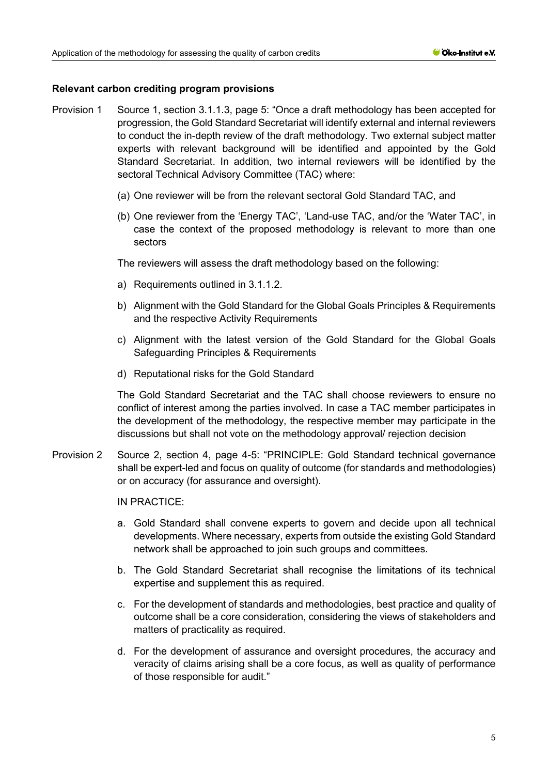## **Relevant carbon crediting program provisions**

- Provision 1 Source 1, section 3.1.1.3, page 5: "Once a draft methodology has been accepted for progression, the Gold Standard Secretariat will identify external and internal reviewers to conduct the in-depth review of the draft methodology. Two external subject matter experts with relevant background will be identified and appointed by the Gold Standard Secretariat. In addition, two internal reviewers will be identified by the sectoral Technical Advisory Committee (TAC) where:
	- (a) One reviewer will be from the relevant sectoral Gold Standard TAC, and
	- (b) One reviewer from the 'Energy TAC', 'Land-use TAC, and/or the 'Water TAC', in case the context of the proposed methodology is relevant to more than one sectors

The reviewers will assess the draft methodology based on the following:

- a) Requirements outlined in 3.1.1.2.
- b) Alignment with the Gold Standard for the Global Goals Principles & Requirements and the respective Activity Requirements
- c) Alignment with the latest version of the Gold Standard for the Global Goals Safeguarding Principles & Requirements
- d) Reputational risks for the Gold Standard

The Gold Standard Secretariat and the TAC shall choose reviewers to ensure no conflict of interest among the parties involved. In case a TAC member participates in the development of the methodology, the respective member may participate in the discussions but shall not vote on the methodology approval/ rejection decision

Provision 2 Source 2, section 4, page 4-5: "PRINCIPLE: Gold Standard technical governance shall be expert-led and focus on quality of outcome (for standards and methodologies) or on accuracy (for assurance and oversight).

IN PRACTICE:

- a. Gold Standard shall convene experts to govern and decide upon all technical developments. Where necessary, experts from outside the existing Gold Standard network shall be approached to join such groups and committees.
- b. The Gold Standard Secretariat shall recognise the limitations of its technical expertise and supplement this as required.
- c. For the development of standards and methodologies, best practice and quality of outcome shall be a core consideration, considering the views of stakeholders and matters of practicality as required.
- d. For the development of assurance and oversight procedures, the accuracy and veracity of claims arising shall be a core focus, as well as quality of performance of those responsible for audit."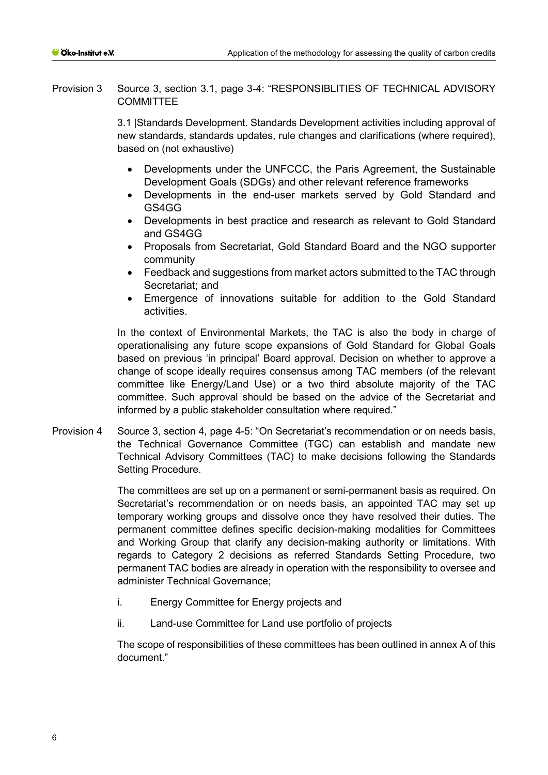Provision 3 Source 3, section 3.1, page 3-4: "RESPONSIBLITIES OF TECHNICAL ADVISORY **COMMITTEE** 

> 3.1 |Standards Development. Standards Development activities including approval of new standards, standards updates, rule changes and clarifications (where required), based on (not exhaustive)

- Developments under the UNFCCC, the Paris Agreement, the Sustainable Development Goals (SDGs) and other relevant reference frameworks
- Developments in the end-user markets served by Gold Standard and GS4GG
- Developments in best practice and research as relevant to Gold Standard and GS4GG
- Proposals from Secretariat, Gold Standard Board and the NGO supporter community
- Feedback and suggestions from market actors submitted to the TAC through Secretariat; and
- Emergence of innovations suitable for addition to the Gold Standard activities.

In the context of Environmental Markets, the TAC is also the body in charge of operationalising any future scope expansions of Gold Standard for Global Goals based on previous 'in principal' Board approval. Decision on whether to approve a change of scope ideally requires consensus among TAC members (of the relevant committee like Energy/Land Use) or a two third absolute majority of the TAC committee. Such approval should be based on the advice of the Secretariat and informed by a public stakeholder consultation where required."

Provision 4 Source 3, section 4, page 4-5: "On Secretariat's recommendation or on needs basis, the Technical Governance Committee (TGC) can establish and mandate new Technical Advisory Committees (TAC) to make decisions following the Standards Setting Procedure.

> The committees are set up on a permanent or semi-permanent basis as required. On Secretariat's recommendation or on needs basis, an appointed TAC may set up temporary working groups and dissolve once they have resolved their duties. The permanent committee defines specific decision-making modalities for Committees and Working Group that clarify any decision-making authority or limitations. With regards to Category 2 decisions as referred Standards Setting Procedure, two permanent TAC bodies are already in operation with the responsibility to oversee and administer Technical Governance;

- i. Energy Committee for Energy projects and
- ii. Land-use Committee for Land use portfolio of projects

The scope of responsibilities of these committees has been outlined in annex A of this document."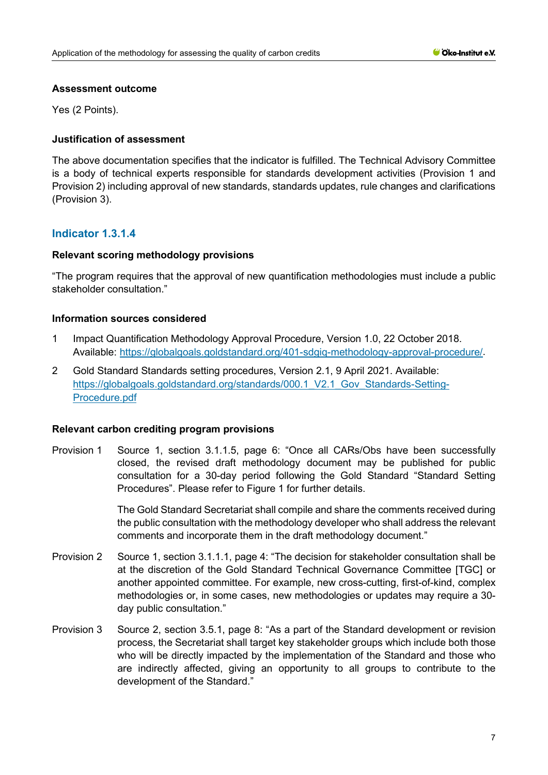#### **Assessment outcome**

Yes (2 Points).

# **Justification of assessment**

The above documentation specifies that the indicator is fulfilled. The Technical Advisory Committee is a body of technical experts responsible for standards development activities (Provision 1 and Provision 2) including approval of new standards, standards updates, rule changes and clarifications (Provision 3).

# **Indicator 1.3.1.4**

### **Relevant scoring methodology provisions**

"The program requires that the approval of new quantification methodologies must include a public stakeholder consultation."

# **Information sources considered**

- 1 Impact Quantification Methodology Approval Procedure, Version 1.0, 22 October 2018. Available: [https://globalgoals.goldstandard.org/401-sdgiq-methodology-approval-procedure/.](https://globalgoals.goldstandard.org/401-sdgiq-methodology-approval-procedure/)
- 2 Gold Standard Standards setting procedures, Version 2.1, 9 April 2021. Available: https://globalgoals.goldstandard.org/standards/000.1 V2.1 Gov Standards-Setting-[Procedure.pdf](https://globalgoals.goldstandard.org/standards/000.1_V2.1_Gov_Standards-Setting-Procedure.pdf)

#### **Relevant carbon crediting program provisions**

Provision 1 Source 1, section 3.1.1.5, page 6: "Once all CARs/Obs have been successfully closed, the revised draft methodology document may be published for public consultation for a 30-day period following the Gold Standard "Standard Setting Procedures". Please refer to Figure 1 for further details.

> The Gold Standard Secretariat shall compile and share the comments received during the public consultation with the methodology developer who shall address the relevant comments and incorporate them in the draft methodology document."

- Provision 2 Source 1, section 3.1.1.1, page 4: "The decision for stakeholder consultation shall be at the discretion of the Gold Standard Technical Governance Committee [TGC] or another appointed committee. For example, new cross-cutting, first-of-kind, complex methodologies or, in some cases, new methodologies or updates may require a 30 day public consultation."
- Provision 3 Source 2, section 3.5.1, page 8: "As a part of the Standard development or revision process, the Secretariat shall target key stakeholder groups which include both those who will be directly impacted by the implementation of the Standard and those who are indirectly affected, giving an opportunity to all groups to contribute to the development of the Standard."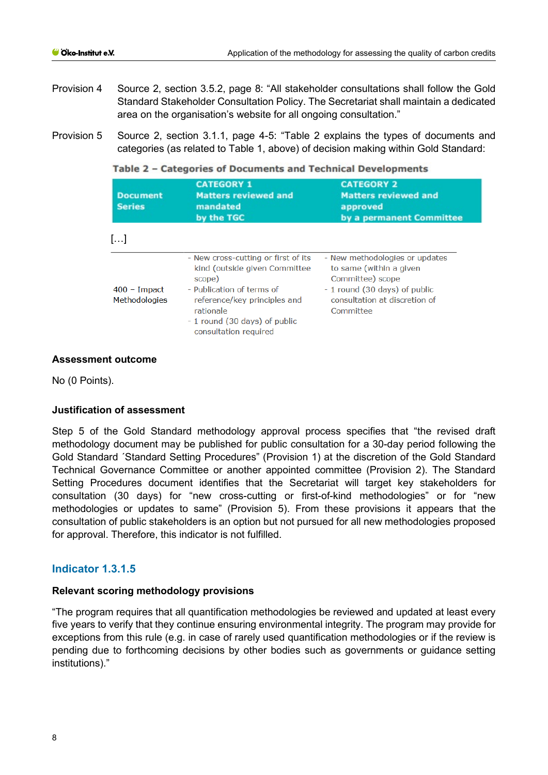- Provision 4 Source 2, section 3.5.2, page 8: "All stakeholder consultations shall follow the Gold Standard Stakeholder Consultation Policy. The Secretariat shall maintain a dedicated area on the organisation's website for all ongoing consultation."
- Provision 5 Source 2, section 3.1.1, page 4-5: "Table 2 explains the types of documents and categories (as related to Table 1, above) of decision making within Gold Standard:

Table 2 - Categories of Documents and Technical Developments

| <b>Document</b><br><b>Series</b>       | <b>CATEGORY 1</b><br><b>Matters reviewed and</b><br>mandated<br>by the TGC                                                                                                                                         | <b>CATEGORY 2</b><br><b>Matters reviewed and</b><br>approved<br>by a permanent Committee                                                                     |
|----------------------------------------|--------------------------------------------------------------------------------------------------------------------------------------------------------------------------------------------------------------------|--------------------------------------------------------------------------------------------------------------------------------------------------------------|
| []                                     |                                                                                                                                                                                                                    |                                                                                                                                                              |
| $400 -$ Impact<br><b>Methodologies</b> | - New cross-cutting or first of its<br>kind (outside given Committee<br>scope)<br>- Publication of terms of<br>reference/key principles and<br>rationale<br>- 1 round (30 days) of public<br>consultation required | - New methodologies or updates<br>to same (within a given<br>Committee) scope<br>- 1 round (30 days) of public<br>consultation at discretion of<br>Committee |

### **Assessment outcome**

No (0 Points).

# **Justification of assessment**

Step 5 of the Gold Standard methodology approval process specifies that "the revised draft methodology document may be published for public consultation for a 30-day period following the Gold Standard ´Standard Setting Procedures" (Provision 1) at the discretion of the Gold Standard Technical Governance Committee or another appointed committee (Provision 2). The Standard Setting Procedures document identifies that the Secretariat will target key stakeholders for consultation (30 days) for "new cross-cutting or first-of-kind methodologies" or for "new methodologies or updates to same" (Provision 5). From these provisions it appears that the consultation of public stakeholders is an option but not pursued for all new methodologies proposed for approval. Therefore, this indicator is not fulfilled.

# **Indicator 1.3.1.5**

# **Relevant scoring methodology provisions**

"The program requires that all quantification methodologies be reviewed and updated at least every five years to verify that they continue ensuring environmental integrity. The program may provide for exceptions from this rule (e.g. in case of rarely used quantification methodologies or if the review is pending due to forthcoming decisions by other bodies such as governments or guidance setting institutions)."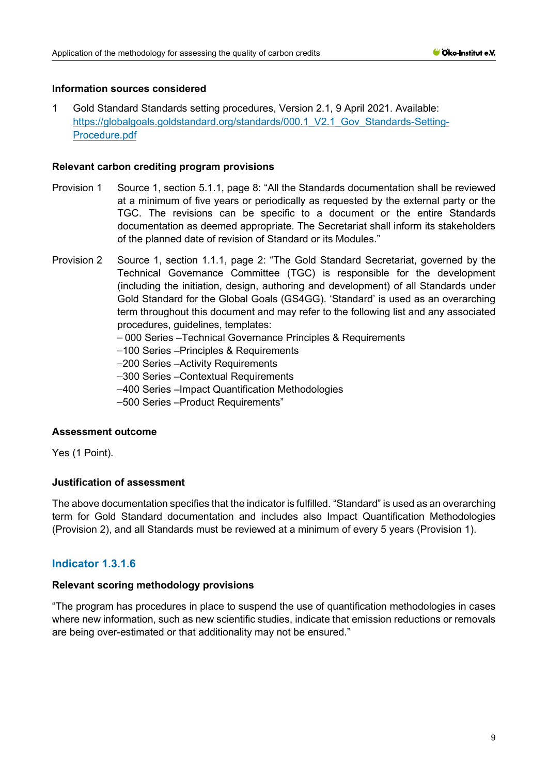1 Gold Standard Standards setting procedures, Version 2.1, 9 April 2021. Available: https://globalgoals.goldstandard.org/standards/000.1 V2.1 Gov Standards-Setting-[Procedure.pdf](https://globalgoals.goldstandard.org/standards/000.1_V2.1_Gov_Standards-Setting-Procedure.pdf)

#### **Relevant carbon crediting program provisions**

- Provision 1 Source 1, section 5.1.1, page 8: "All the Standards documentation shall be reviewed at a minimum of five years or periodically as requested by the external party or the TGC. The revisions can be specific to a document or the entire Standards documentation as deemed appropriate. The Secretariat shall inform its stakeholders of the planned date of revision of Standard or its Modules."
- Provision 2 Source 1, section 1.1.1, page 2: "The Gold Standard Secretariat, governed by the Technical Governance Committee (TGC) is responsible for the development (including the initiation, design, authoring and development) of all Standards under Gold Standard for the Global Goals (GS4GG). 'Standard' is used as an overarching term throughout this document and may refer to the following list and any associated procedures, guidelines, templates:
	- ⎯ 000 Series –Technical Governance Principles & Requirements
	- -100 Series -Principles & Requirements
	- -200 Series Activity Requirements
	- -300 Series Contextual Requirements
	- -400 Series –Impact Quantification Methodologies
	- -500 Series -Product Requirements"

# **Assessment outcome**

Yes (1 Point).

# **Justification of assessment**

The above documentation specifies that the indicator is fulfilled. "Standard" is used as an overarching term for Gold Standard documentation and includes also Impact Quantification Methodologies (Provision 2), and all Standards must be reviewed at a minimum of every 5 years (Provision 1).

# **Indicator 1.3.1.6**

#### **Relevant scoring methodology provisions**

"The program has procedures in place to suspend the use of quantification methodologies in cases where new information, such as new scientific studies, indicate that emission reductions or removals are being over-estimated or that additionality may not be ensured."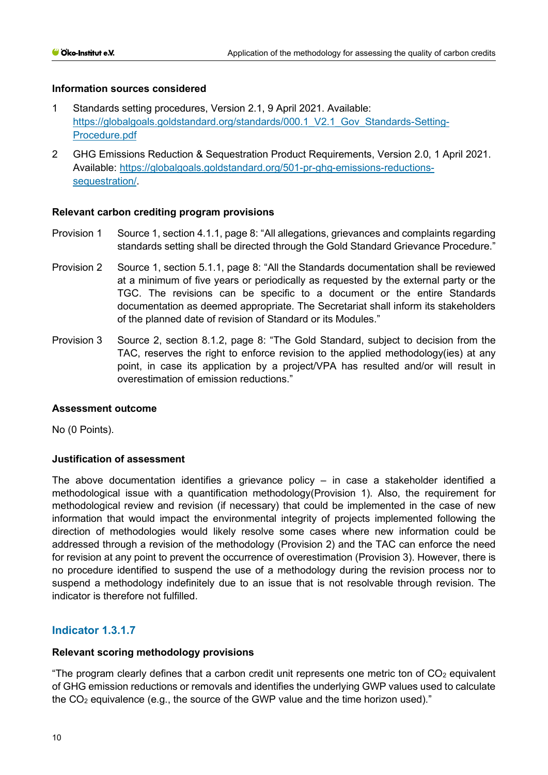- 1 Standards setting procedures, Version 2.1, 9 April 2021. Available: https://globalgoals.goldstandard.org/standards/000.1 V2.1 Gov Standards-Setting-[Procedure.pdf](https://globalgoals.goldstandard.org/standards/000.1_V2.1_Gov_Standards-Setting-Procedure.pdf)
- 2 GHG Emissions Reduction & Sequestration Product Requirements, Version 2.0, 1 April 2021. Available: [https://globalgoals.goldstandard.org/501-pr-ghg-emissions-reductions](https://globalgoals.goldstandard.org/501-pr-ghg-emissions-reductions-sequestration/)[sequestration/.](https://globalgoals.goldstandard.org/501-pr-ghg-emissions-reductions-sequestration/)

# **Relevant carbon crediting program provisions**

- Provision 1 Source 1, section 4.1.1, page 8: "All allegations, grievances and complaints regarding standards setting shall be directed through the Gold Standard Grievance Procedure."
- Provision 2 Source 1, section 5.1.1, page 8: "All the Standards documentation shall be reviewed at a minimum of five years or periodically as requested by the external party or the TGC. The revisions can be specific to a document or the entire Standards documentation as deemed appropriate. The Secretariat shall inform its stakeholders of the planned date of revision of Standard or its Modules."
- Provision 3 Source 2, section 8.1.2, page 8: "The Gold Standard, subject to decision from the TAC, reserves the right to enforce revision to the applied methodology(ies) at any point, in case its application by a project/VPA has resulted and/or will result in overestimation of emission reductions."

#### **Assessment outcome**

No (0 Points).

# **Justification of assessment**

The above documentation identifies a grievance policy – in case a stakeholder identified a methodological issue with a quantification methodology(Provision 1). Also, the requirement for methodological review and revision (if necessary) that could be implemented in the case of new information that would impact the environmental integrity of projects implemented following the direction of methodologies would likely resolve some cases where new information could be addressed through a revision of the methodology (Provision 2) and the TAC can enforce the need for revision at any point to prevent the occurrence of overestimation (Provision 3). However, there is no procedure identified to suspend the use of a methodology during the revision process nor to suspend a methodology indefinitely due to an issue that is not resolvable through revision. The indicator is therefore not fulfilled.

# **Indicator 1.3.1.7**

# **Relevant scoring methodology provisions**

"The program clearly defines that a carbon credit unit represents one metric ton of  $CO<sub>2</sub>$  equivalent of GHG emission reductions or removals and identifies the underlying GWP values used to calculate the  $CO<sub>2</sub>$  equivalence (e.g., the source of the GWP value and the time horizon used)."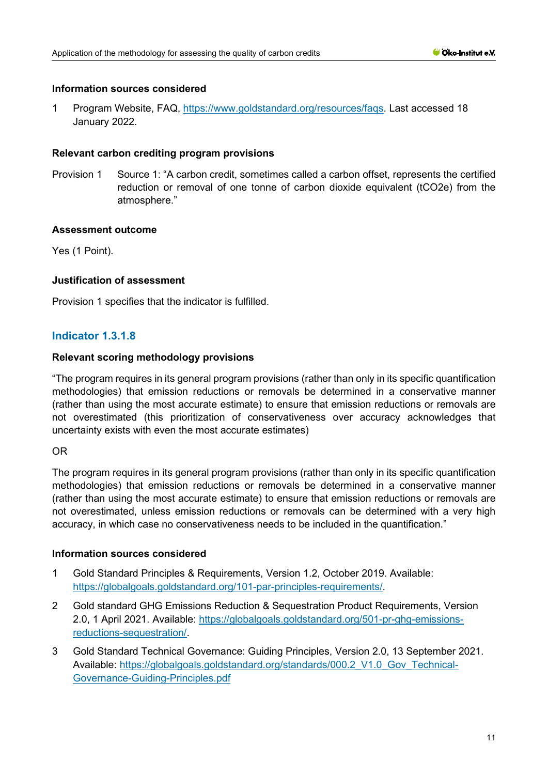1 Program Website, FAQ, [https://www.goldstandard.org/resources/faqs.](https://www.goldstandard.org/resources/faqs) Last accessed 18 January 2022.

# **Relevant carbon crediting program provisions**

Provision 1 Source 1: "A carbon credit, sometimes called a carbon offset, represents the certified reduction or removal of one tonne of carbon dioxide equivalent (tCO2e) from the atmosphere."

# **Assessment outcome**

Yes (1 Point).

# **Justification of assessment**

Provision 1 specifies that the indicator is fulfilled.

# **Indicator 1.3.1.8**

# **Relevant scoring methodology provisions**

"The program requires in its general program provisions (rather than only in its specific quantification methodologies) that emission reductions or removals be determined in a conservative manner (rather than using the most accurate estimate) to ensure that emission reductions or removals are not overestimated (this prioritization of conservativeness over accuracy acknowledges that uncertainty exists with even the most accurate estimates)

# OR

The program requires in its general program provisions (rather than only in its specific quantification methodologies) that emission reductions or removals be determined in a conservative manner (rather than using the most accurate estimate) to ensure that emission reductions or removals are not overestimated, unless emission reductions or removals can be determined with a very high accuracy, in which case no conservativeness needs to be included in the quantification."

# **Information sources considered**

- 1 Gold Standard Principles & Requirements, Version 1.2, October 2019. Available: [https://globalgoals.goldstandard.org/101-par-principles-requirements/.](https://globalgoals.goldstandard.org/101-par-principles-requirements/)
- 2 Gold standard GHG Emissions Reduction & Sequestration Product Requirements, Version 2.0, 1 April 2021. Available: [https://globalgoals.goldstandard.org/501-pr-ghg-emissions](https://globalgoals.goldstandard.org/501-pr-ghg-emissions-reductions-sequestration/)[reductions-sequestration/.](https://globalgoals.goldstandard.org/501-pr-ghg-emissions-reductions-sequestration/)
- 3 Gold Standard Technical Governance: Guiding Principles, Version 2.0, 13 September 2021. Available: https://globalgoals.goldstandard.org/standards/000.2 V1.0 Gov Technical-[Governance-Guiding-Principles.pdf](https://globalgoals.goldstandard.org/standards/000.2_V1.0_Gov_Technical-Governance-Guiding-Principles.pdf)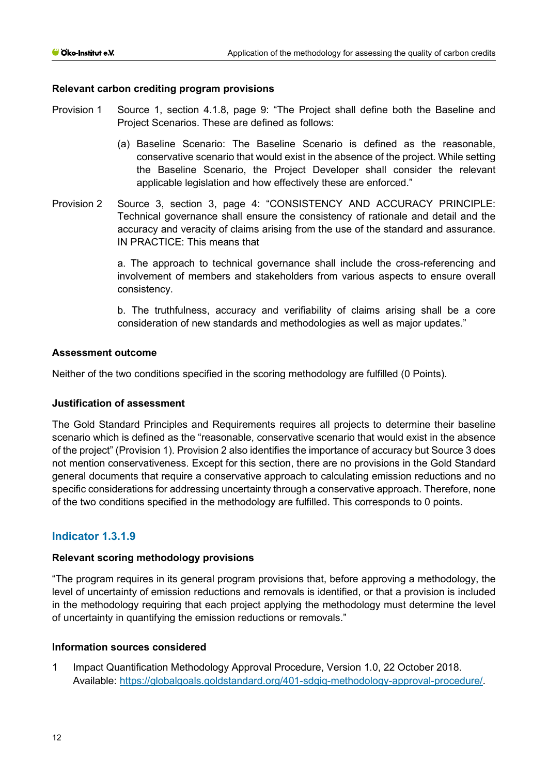## **Relevant carbon crediting program provisions**

- Provision 1 Source 1, section 4.1.8, page 9: "The Project shall define both the Baseline and Project Scenarios. These are defined as follows:
	- (a) Baseline Scenario: The Baseline Scenario is defined as the reasonable, conservative scenario that would exist in the absence of the project. While setting the Baseline Scenario, the Project Developer shall consider the relevant applicable legislation and how effectively these are enforced."
- Provision 2 Source 3, section 3, page 4: "CONSISTENCY AND ACCURACY PRINCIPLE: Technical governance shall ensure the consistency of rationale and detail and the accuracy and veracity of claims arising from the use of the standard and assurance. IN PRACTICE: This means that

a. The approach to technical governance shall include the cross-referencing and involvement of members and stakeholders from various aspects to ensure overall consistency.

b. The truthfulness, accuracy and verifiability of claims arising shall be a core consideration of new standards and methodologies as well as major updates."

### **Assessment outcome**

Neither of the two conditions specified in the scoring methodology are fulfilled (0 Points).

#### **Justification of assessment**

The Gold Standard Principles and Requirements requires all projects to determine their baseline scenario which is defined as the "reasonable, conservative scenario that would exist in the absence of the project" (Provision 1). Provision 2 also identifies the importance of accuracy but Source 3 does not mention conservativeness. Except for this section, there are no provisions in the Gold Standard general documents that require a conservative approach to calculating emission reductions and no specific considerations for addressing uncertainty through a conservative approach. Therefore, none of the two conditions specified in the methodology are fulfilled. This corresponds to 0 points.

# **Indicator 1.3.1.9**

#### **Relevant scoring methodology provisions**

"The program requires in its general program provisions that, before approving a methodology, the level of uncertainty of emission reductions and removals is identified, or that a provision is included in the methodology requiring that each project applying the methodology must determine the level of uncertainty in quantifying the emission reductions or removals."

#### **Information sources considered**

1 Impact Quantification Methodology Approval Procedure, Version 1.0, 22 October 2018. Available: [https://globalgoals.goldstandard.org/401-sdgiq-methodology-approval-procedure/.](https://globalgoals.goldstandard.org/401-sdgiq-methodology-approval-procedure/)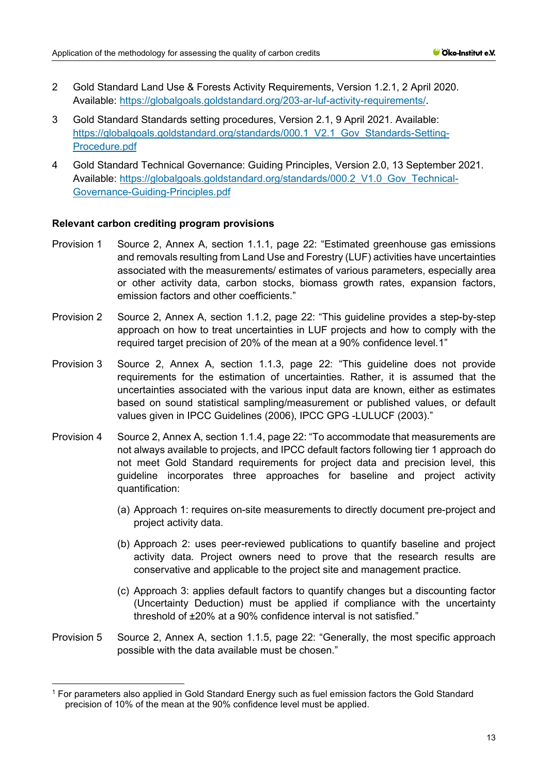- 2 Gold Standard Land Use & Forests Activity Requirements, Version 1.2.1, 2 April 2020. Available: [https://globalgoals.goldstandard.org/203-ar-luf-activity-requirements/.](https://globalgoals.goldstandard.org/203-ar-luf-activity-requirements/)
- 3 Gold Standard Standards setting procedures, Version 2.1, 9 April 2021. Available: https://globalgoals.goldstandard.org/standards/000.1 V2.1 Gov Standards-Setting-[Procedure.pdf](https://globalgoals.goldstandard.org/standards/000.1_V2.1_Gov_Standards-Setting-Procedure.pdf)
- 4 Gold Standard Technical Governance: Guiding Principles, Version 2.0, 13 September 2021. Available: https://globalgoals.goldstandard.org/standards/000.2 V1.0 Gov Technical-[Governance-Guiding-Principles.pdf](https://globalgoals.goldstandard.org/standards/000.2_V1.0_Gov_Technical-Governance-Guiding-Principles.pdf)

#### **Relevant carbon crediting program provisions**

- Provision 1 Source 2, Annex A, section 1.1.1, page 22: "Estimated greenhouse gas emissions and removals resulting from Land Use and Forestry (LUF) activities have uncertainties associated with the measurements/ estimates of various parameters, especially area or other activity data, carbon stocks, biomass growth rates, expansion factors, emission factors and other coefficients."
- Provision 2 Source 2, Annex A, section 1.1.2, page 22: "This guideline provides a step-by-step approach on how to treat uncertainties in LUF projects and how to comply with the required target precision of 20% of the mean at a 90% confidence level.[1"](#page-12-0)
- Provision 3 Source 2, Annex A, section 1.1.3, page 22: "This guideline does not provide requirements for the estimation of uncertainties. Rather, it is assumed that the uncertainties associated with the various input data are known, either as estimates based on sound statistical sampling/measurement or published values, or default values given in IPCC Guidelines (2006), IPCC GPG -LULUCF (2003)."
- Provision 4 Source 2, Annex A, section 1.1.4, page 22: "To accommodate that measurements are not always available to projects, and IPCC default factors following tier 1 approach do not meet Gold Standard requirements for project data and precision level, this guideline incorporates three approaches for baseline and project activity quantification:
	- (a) Approach 1: requires on-site measurements to directly document pre-project and project activity data.
	- (b) Approach 2: uses peer-reviewed publications to quantify baseline and project activity data. Project owners need to prove that the research results are conservative and applicable to the project site and management practice.
	- (c) Approach 3: applies default factors to quantify changes but a discounting factor (Uncertainty Deduction) must be applied if compliance with the uncertainty threshold of ±20% at a 90% confidence interval is not satisfied."
- Provision 5 Source 2, Annex A, section 1.1.5, page 22: "Generally, the most specific approach possible with the data available must be chosen."

<span id="page-12-0"></span><sup>1</sup> For parameters also applied in Gold Standard Energy such as fuel emission factors the Gold Standard precision of 10% of the mean at the 90% confidence level must be applied.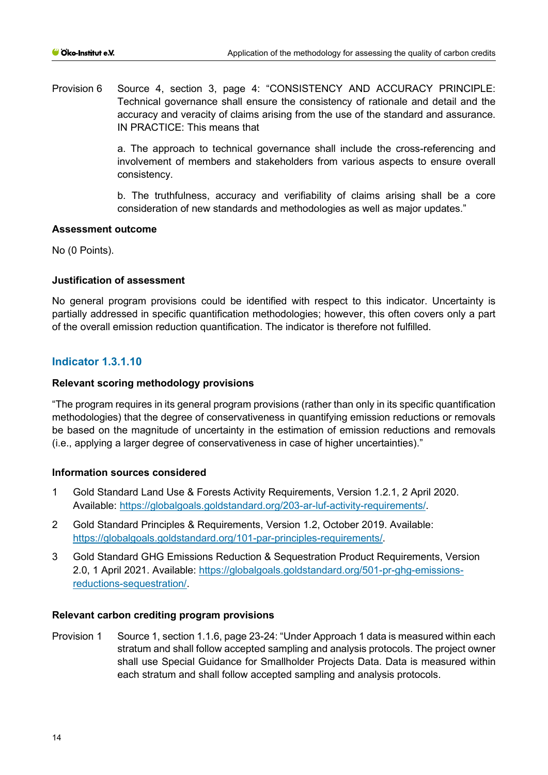Provision 6 Source 4, section 3, page 4: "CONSISTENCY AND ACCURACY PRINCIPLE: Technical governance shall ensure the consistency of rationale and detail and the accuracy and veracity of claims arising from the use of the standard and assurance. IN PRACTICE: This means that

> a. The approach to technical governance shall include the cross-referencing and involvement of members and stakeholders from various aspects to ensure overall consistency.

> b. The truthfulness, accuracy and verifiability of claims arising shall be a core consideration of new standards and methodologies as well as major updates."

### **Assessment outcome**

No (0 Points).

# **Justification of assessment**

No general program provisions could be identified with respect to this indicator. Uncertainty is partially addressed in specific quantification methodologies; however, this often covers only a part of the overall emission reduction quantification. The indicator is therefore not fulfilled.

# **Indicator 1.3.1.10**

### **Relevant scoring methodology provisions**

"The program requires in its general program provisions (rather than only in its specific quantification methodologies) that the degree of conservativeness in quantifying emission reductions or removals be based on the magnitude of uncertainty in the estimation of emission reductions and removals (i.e., applying a larger degree of conservativeness in case of higher uncertainties)."

#### **Information sources considered**

- 1 Gold Standard Land Use & Forests Activity Requirements, Version 1.2.1, 2 April 2020. Available: [https://globalgoals.goldstandard.org/203-ar-luf-activity-requirements/.](https://globalgoals.goldstandard.org/203-ar-luf-activity-requirements/)
- 2 Gold Standard Principles & Requirements, Version 1.2, October 2019. Available: [https://globalgoals.goldstandard.org/101-par-principles-requirements/.](https://globalgoals.goldstandard.org/101-par-principles-requirements/)
- 3 Gold Standard GHG Emissions Reduction & Sequestration Product Requirements, Version 2.0, 1 April 2021. Available: [https://globalgoals.goldstandard.org/501-pr-ghg-emissions](https://globalgoals.goldstandard.org/501-pr-ghg-emissions-reductions-sequestration/)[reductions-sequestration/.](https://globalgoals.goldstandard.org/501-pr-ghg-emissions-reductions-sequestration/)

#### **Relevant carbon crediting program provisions**

Provision 1 Source 1, section 1.1.6, page 23-24: "Under Approach 1 data is measured within each stratum and shall follow accepted sampling and analysis protocols. The project owner shall use Special Guidance for Smallholder Projects Data. Data is measured within each stratum and shall follow accepted sampling and analysis protocols.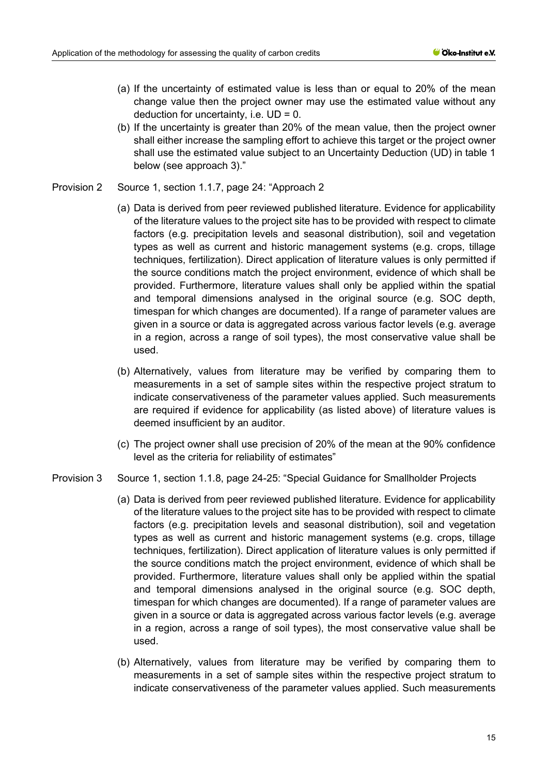- (a) If the uncertainty of estimated value is less than or equal to 20% of the mean change value then the project owner may use the estimated value without any deduction for uncertainty, i.e.  $UD = 0$ .
- (b) If the uncertainty is greater than 20% of the mean value, then the project owner shall either increase the sampling effort to achieve this target or the project owner shall use the estimated value subject to an Uncertainty Deduction (UD) in table 1 below (see approach 3)."
- Provision 2 Source 1, section 1.1.7, page 24: "Approach 2
	- (a) Data is derived from peer reviewed published literature. Evidence for applicability of the literature values to the project site has to be provided with respect to climate factors (e.g. precipitation levels and seasonal distribution), soil and vegetation types as well as current and historic management systems (e.g. crops, tillage techniques, fertilization). Direct application of literature values is only permitted if the source conditions match the project environment, evidence of which shall be provided. Furthermore, literature values shall only be applied within the spatial and temporal dimensions analysed in the original source (e.g. SOC depth, timespan for which changes are documented). If a range of parameter values are given in a source or data is aggregated across various factor levels (e.g. average in a region, across a range of soil types), the most conservative value shall be used.
	- (b) Alternatively, values from literature may be verified by comparing them to measurements in a set of sample sites within the respective project stratum to indicate conservativeness of the parameter values applied. Such measurements are required if evidence for applicability (as listed above) of literature values is deemed insufficient by an auditor.
	- (c) The project owner shall use precision of 20% of the mean at the 90% confidence level as the criteria for reliability of estimates"
- Provision 3 Source 1, section 1.1.8, page 24-25: "Special Guidance for Smallholder Projects
	- (a) Data is derived from peer reviewed published literature. Evidence for applicability of the literature values to the project site has to be provided with respect to climate factors (e.g. precipitation levels and seasonal distribution), soil and vegetation types as well as current and historic management systems (e.g. crops, tillage techniques, fertilization). Direct application of literature values is only permitted if the source conditions match the project environment, evidence of which shall be provided. Furthermore, literature values shall only be applied within the spatial and temporal dimensions analysed in the original source (e.g. SOC depth, timespan for which changes are documented). If a range of parameter values are given in a source or data is aggregated across various factor levels (e.g. average in a region, across a range of soil types), the most conservative value shall be used.
	- (b) Alternatively, values from literature may be verified by comparing them to measurements in a set of sample sites within the respective project stratum to indicate conservativeness of the parameter values applied. Such measurements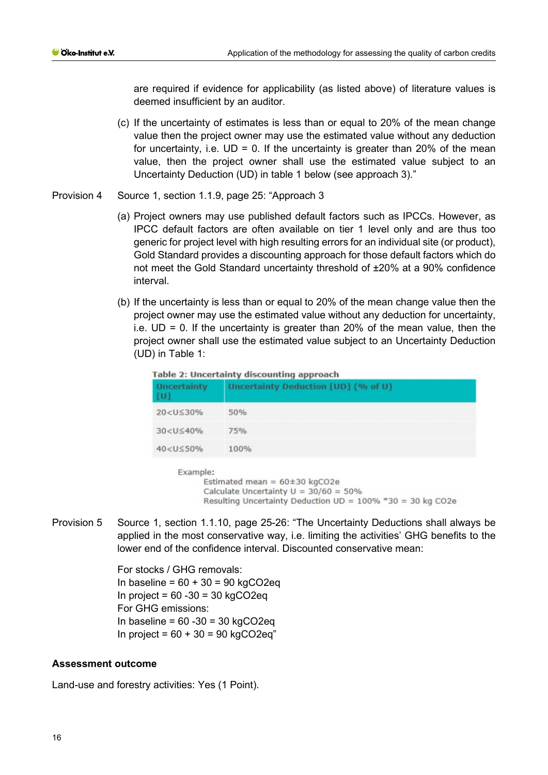are required if evidence for applicability (as listed above) of literature values is deemed insufficient by an auditor.

- (c) If the uncertainty of estimates is less than or equal to 20% of the mean change value then the project owner may use the estimated value without any deduction for uncertainty, i.e.  $UD = 0$ . If the uncertainty is greater than 20% of the mean value, then the project owner shall use the estimated value subject to an Uncertainty Deduction (UD) in table 1 below (see approach 3)."
- Provision 4 Source 1, section 1.1.9, page 25: "Approach 3
	- (a) Project owners may use published default factors such as IPCCs. However, as IPCC default factors are often available on tier 1 level only and are thus too generic for project level with high resulting errors for an individual site (or product), Gold Standard provides a discounting approach for those default factors which do not meet the Gold Standard uncertainty threshold of ±20% at a 90% confidence interval.
	- (b) If the uncertainty is less than or equal to 20% of the mean change value then the project owner may use the estimated value without any deduction for uncertainty, i.e.  $UD = 0$ . If the uncertainty is greater than 20% of the mean value, then the project owner shall use the estimated value subject to an Uncertainty Deduction (UD) in Table 1:

| <b>Uncertainty</b><br>[ <sub>U</sub> ] | Table 2: Uncertainty discounting approach<br>Uncertainty Deduction [UD] (% of U)                                                                |
|----------------------------------------|-------------------------------------------------------------------------------------------------------------------------------------------------|
| $20 < U \leq 30\%$                     | 50%                                                                                                                                             |
| $30 < U \leq 40\%$                     | 75%                                                                                                                                             |
| $40 < U \leq 50\%$                     | 100%                                                                                                                                            |
| Example:                               | Estimated mean = $60\pm30$ kgCO2e<br>Calculate Uncertainty $U = 30/60 = 50\%$<br>Resulting Uncertainty Deduction $UD = 100\% * 30 = 30$ kg CO2e |

Provision 5 Source 1, section 1.1.10, page 25-26: "The Uncertainty Deductions shall always be applied in the most conservative way, i.e. limiting the activities' GHG benefits to the lower end of the confidence interval. Discounted conservative mean:

> For stocks / GHG removals: In baseline = 60 + 30 = 90 kgCO2eq In project =  $60 -30 = 30$  kgCO2eq For GHG emissions: In baseline =  $60 - 30 = 30$  kgCO2eq In project =  $60 + 30 = 90$  kgCO2eq"

#### **Assessment outcome**

Land-use and forestry activities: Yes (1 Point).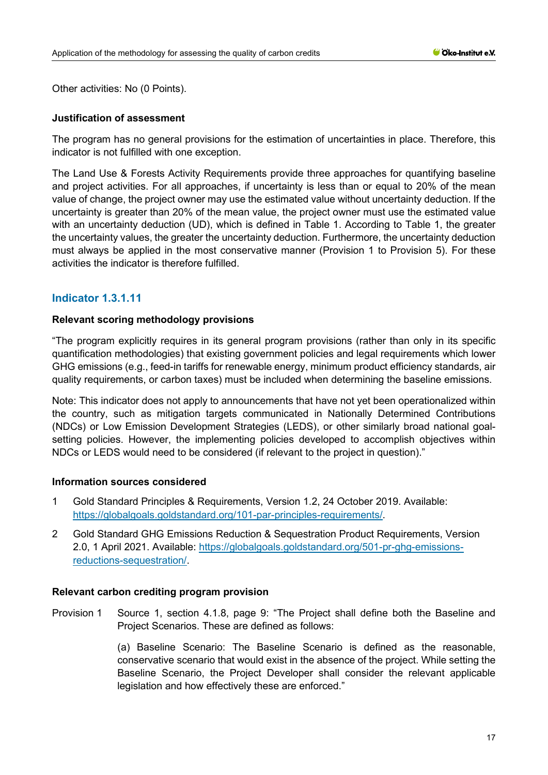Other activities: No (0 Points).

# **Justification of assessment**

The program has no general provisions for the estimation of uncertainties in place. Therefore, this indicator is not fulfilled with one exception.

The Land Use & Forests Activity Requirements provide three approaches for quantifying baseline and project activities. For all approaches, if uncertainty is less than or equal to 20% of the mean value of change, the project owner may use the estimated value without uncertainty deduction. If the uncertainty is greater than 20% of the mean value, the project owner must use the estimated value with an uncertainty deduction (UD), which is defined in Table 1. According to Table 1, the greater the uncertainty values, the greater the uncertainty deduction. Furthermore, the uncertainty deduction must always be applied in the most conservative manner (Provision 1 to Provision 5). For these activities the indicator is therefore fulfilled.

# **Indicator 1.3.1.11**

## **Relevant scoring methodology provisions**

"The program explicitly requires in its general program provisions (rather than only in its specific quantification methodologies) that existing government policies and legal requirements which lower GHG emissions (e.g., feed-in tariffs for renewable energy, minimum product efficiency standards, air quality requirements, or carbon taxes) must be included when determining the baseline emissions.

Note: This indicator does not apply to announcements that have not yet been operationalized within the country, such as mitigation targets communicated in Nationally Determined Contributions (NDCs) or Low Emission Development Strategies (LEDS), or other similarly broad national goalsetting policies. However, the implementing policies developed to accomplish objectives within NDCs or LEDS would need to be considered (if relevant to the project in question)."

#### **Information sources considered**

- 1 Gold Standard Principles & Requirements, Version 1.2, 24 October 2019. Available: [https://globalgoals.goldstandard.org/101-par-principles-requirements/.](https://globalgoals.goldstandard.org/101-par-principles-requirements/)
- 2 Gold Standard GHG Emissions Reduction & Sequestration Product Requirements, Version 2.0, 1 April 2021. Available: [https://globalgoals.goldstandard.org/501-pr-ghg-emissions](https://globalgoals.goldstandard.org/501-pr-ghg-emissions-reductions-sequestration/)[reductions-sequestration/.](https://globalgoals.goldstandard.org/501-pr-ghg-emissions-reductions-sequestration/)

# **Relevant carbon crediting program provision**

Provision 1 Source 1, section 4.1.8, page 9: "The Project shall define both the Baseline and Project Scenarios. These are defined as follows:

> (a) Baseline Scenario: The Baseline Scenario is defined as the reasonable, conservative scenario that would exist in the absence of the project. While setting the Baseline Scenario, the Project Developer shall consider the relevant applicable legislation and how effectively these are enforced."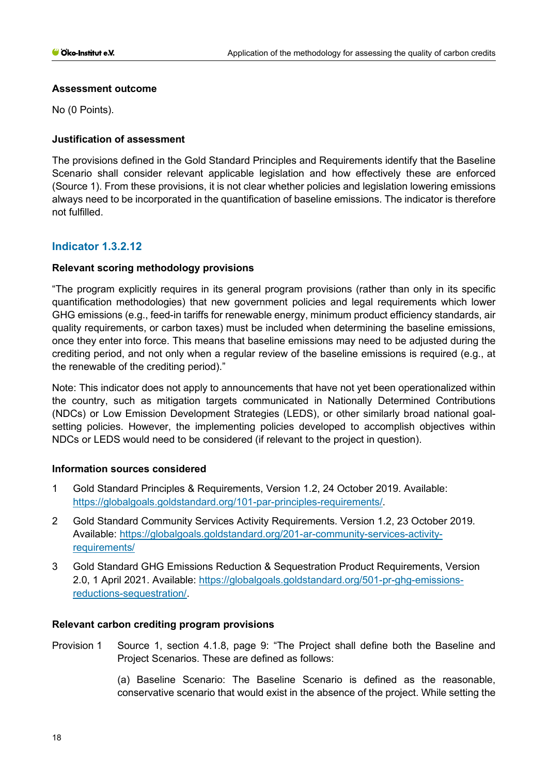# **Assessment outcome**

No (0 Points).

# **Justification of assessment**

The provisions defined in the Gold Standard Principles and Requirements identify that the Baseline Scenario shall consider relevant applicable legislation and how effectively these are enforced (Source 1). From these provisions, it is not clear whether policies and legislation lowering emissions always need to be incorporated in the quantification of baseline emissions. The indicator is therefore not fulfilled.

# **Indicator 1.3.2.12**

# **Relevant scoring methodology provisions**

"The program explicitly requires in its general program provisions (rather than only in its specific quantification methodologies) that new government policies and legal requirements which lower GHG emissions (e.g., feed-in tariffs for renewable energy, minimum product efficiency standards, air quality requirements, or carbon taxes) must be included when determining the baseline emissions, once they enter into force. This means that baseline emissions may need to be adjusted during the crediting period, and not only when a regular review of the baseline emissions is required (e.g., at the renewable of the crediting period)."

Note: This indicator does not apply to announcements that have not yet been operationalized within the country, such as mitigation targets communicated in Nationally Determined Contributions (NDCs) or Low Emission Development Strategies (LEDS), or other similarly broad national goalsetting policies. However, the implementing policies developed to accomplish objectives within NDCs or LEDS would need to be considered (if relevant to the project in question).

# **Information sources considered**

- 1 Gold Standard Principles & Requirements, Version 1.2, 24 October 2019. Available: [https://globalgoals.goldstandard.org/101-par-principles-requirements/.](https://globalgoals.goldstandard.org/101-par-principles-requirements/)
- 2 Gold Standard Community Services Activity Requirements. Version 1.2, 23 October 2019. Available: [https://globalgoals.goldstandard.org/201-ar-community-services-activity](https://globalgoals.goldstandard.org/201-ar-community-services-activity-requirements/)[requirements/](https://globalgoals.goldstandard.org/201-ar-community-services-activity-requirements/)
- 3 Gold Standard GHG Emissions Reduction & Sequestration Product Requirements, Version 2.0, 1 April 2021. Available: [https://globalgoals.goldstandard.org/501-pr-ghg-emissions](https://globalgoals.goldstandard.org/501-pr-ghg-emissions-reductions-sequestration/)[reductions-sequestration/.](https://globalgoals.goldstandard.org/501-pr-ghg-emissions-reductions-sequestration/)

# **Relevant carbon crediting program provisions**

Provision 1 Source 1, section 4.1.8, page 9: "The Project shall define both the Baseline and Project Scenarios. These are defined as follows:

> (a) Baseline Scenario: The Baseline Scenario is defined as the reasonable, conservative scenario that would exist in the absence of the project. While setting the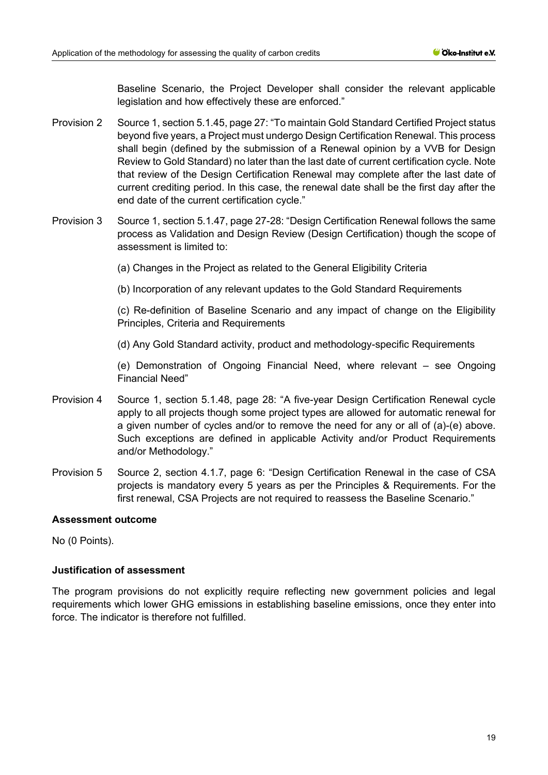Baseline Scenario, the Project Developer shall consider the relevant applicable legislation and how effectively these are enforced."

- Provision 2 Source 1, section 5.1.45, page 27: "To maintain Gold Standard Certified Project status beyond five years, a Project must undergo Design Certification Renewal. This process shall begin (defined by the submission of a Renewal opinion by a VVB for Design Review to Gold Standard) no later than the last date of current certification cycle. Note that review of the Design Certification Renewal may complete after the last date of current crediting period. In this case, the renewal date shall be the first day after the end date of the current certification cycle."
- Provision 3 Source 1, section 5.1.47, page 27-28: "Design Certification Renewal follows the same process as Validation and Design Review (Design Certification) though the scope of assessment is limited to:
	- (a) Changes in the Project as related to the General Eligibility Criteria

(b) Incorporation of any relevant updates to the Gold Standard Requirements

(c) Re-definition of Baseline Scenario and any impact of change on the Eligibility Principles, Criteria and Requirements

(d) Any Gold Standard activity, product and methodology-specific Requirements

(e) Demonstration of Ongoing Financial Need, where relevant – see Ongoing Financial Need"

- Provision 4 Source 1, section 5.1.48, page 28: "A five-year Design Certification Renewal cycle apply to all projects though some project types are allowed for automatic renewal for a given number of cycles and/or to remove the need for any or all of (a)-(e) above. Such exceptions are defined in applicable Activity and/or Product Requirements and/or Methodology."
- Provision 5 Source 2, section 4.1.7, page 6: "Design Certification Renewal in the case of CSA projects is mandatory every 5 years as per the Principles & Requirements. For the first renewal, CSA Projects are not required to reassess the Baseline Scenario."

#### **Assessment outcome**

No (0 Points).

### **Justification of assessment**

The program provisions do not explicitly require reflecting new government policies and legal requirements which lower GHG emissions in establishing baseline emissions, once they enter into force. The indicator is therefore not fulfilled.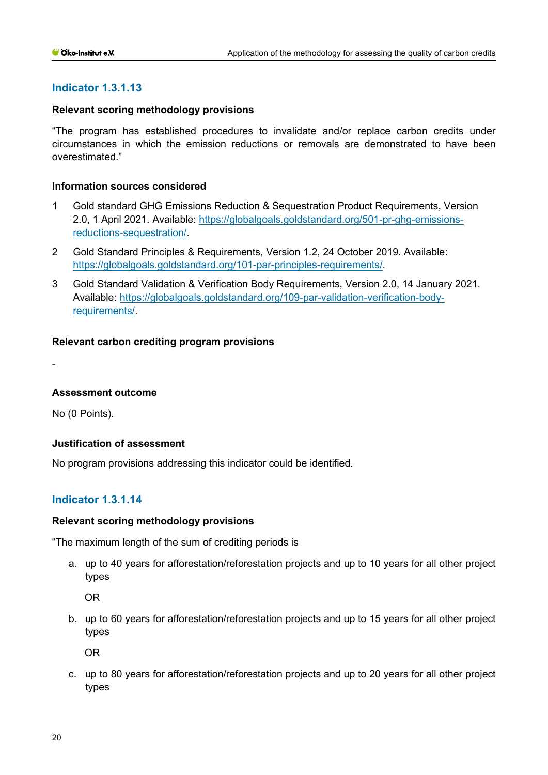# **Indicator 1.3.1.13**

### **Relevant scoring methodology provisions**

"The program has established procedures to invalidate and/or replace carbon credits under circumstances in which the emission reductions or removals are demonstrated to have been overestimated."

#### **Information sources considered**

- 1 Gold standard GHG Emissions Reduction & Sequestration Product Requirements, Version 2.0, 1 April 2021. Available: [https://globalgoals.goldstandard.org/501-pr-ghg-emissions](https://globalgoals.goldstandard.org/501-pr-ghg-emissions-reductions-sequestration/)[reductions-sequestration/.](https://globalgoals.goldstandard.org/501-pr-ghg-emissions-reductions-sequestration/)
- 2 Gold Standard Principles & Requirements, Version 1.2, 24 October 2019. Available: [https://globalgoals.goldstandard.org/101-par-principles-requirements/.](https://globalgoals.goldstandard.org/101-par-principles-requirements/)
- 3 Gold Standard Validation & Verification Body Requirements, Version 2.0, 14 January 2021. Available: [https://globalgoals.goldstandard.org/109-par-validation-verification-body](https://globalgoals.goldstandard.org/109-par-validation-verification-body-requirements/)[requirements/.](https://globalgoals.goldstandard.org/109-par-validation-verification-body-requirements/)

### **Relevant carbon crediting program provisions**

-

#### **Assessment outcome**

No (0 Points).

#### **Justification of assessment**

No program provisions addressing this indicator could be identified.

# **Indicator 1.3.1.14**

#### **Relevant scoring methodology provisions**

"The maximum length of the sum of crediting periods is

a. up to 40 years for afforestation/reforestation projects and up to 10 years for all other project types

OR

b. up to 60 years for afforestation/reforestation projects and up to 15 years for all other project types

OR

c. up to 80 years for afforestation/reforestation projects and up to 20 years for all other project types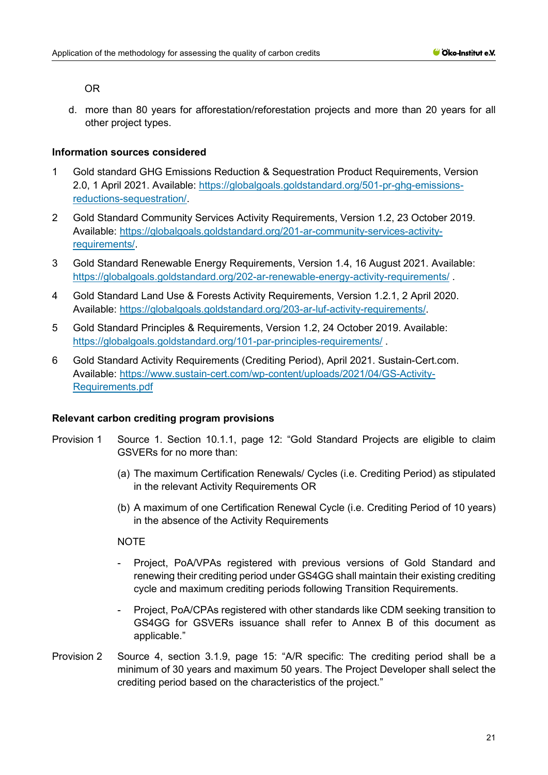### OR

d. more than 80 years for afforestation/reforestation projects and more than 20 years for all other project types.

# **Information sources considered**

- 1 Gold standard GHG Emissions Reduction & Sequestration Product Requirements, Version 2.0, 1 April 2021. Available: [https://globalgoals.goldstandard.org/501-pr-ghg-emissions](https://globalgoals.goldstandard.org/501-pr-ghg-emissions-reductions-sequestration/)[reductions-sequestration/.](https://globalgoals.goldstandard.org/501-pr-ghg-emissions-reductions-sequestration/)
- 2 Gold Standard Community Services Activity Requirements, Version 1.2, 23 October 2019. Available: [https://globalgoals.goldstandard.org/201-ar-community-services-activity](https://globalgoals.goldstandard.org/201-ar-community-services-activity-requirements/)[requirements/.](https://globalgoals.goldstandard.org/201-ar-community-services-activity-requirements/)
- 3 Gold Standard Renewable Energy Requirements, Version 1.4, 16 August 2021. Available: <https://globalgoals.goldstandard.org/202-ar-renewable-energy-activity-requirements/> .
- 4 Gold Standard Land Use & Forests Activity Requirements, Version 1.2.1, 2 April 2020. Available: [https://globalgoals.goldstandard.org/203-ar-luf-activity-requirements/.](https://globalgoals.goldstandard.org/203-ar-luf-activity-requirements/)
- 5 Gold Standard Principles & Requirements, Version 1.2, 24 October 2019. Available: <https://globalgoals.goldstandard.org/101-par-principles-requirements/> .
- 6 Gold Standard Activity Requirements (Crediting Period), April 2021. Sustain-Cert.com. Available: [https://www.sustain-cert.com/wp-content/uploads/2021/04/GS-Activity-](https://www.sustain-cert.com/wp-content/uploads/2021/04/GS-Activity-Requirements.pdf)[Requirements.pdf](https://www.sustain-cert.com/wp-content/uploads/2021/04/GS-Activity-Requirements.pdf)

# **Relevant carbon crediting program provisions**

- Provision 1 Source 1. Section 10.1.1, page 12: "Gold Standard Projects are eligible to claim GSVERs for no more than:
	- (a) The maximum Certification Renewals/ Cycles (i.e. Crediting Period) as stipulated in the relevant Activity Requirements OR
	- (b) A maximum of one Certification Renewal Cycle (i.e. Crediting Period of 10 years) in the absence of the Activity Requirements

# **NOTE**

- Project, PoA/VPAs registered with previous versions of Gold Standard and renewing their crediting period under GS4GG shall maintain their existing crediting cycle and maximum crediting periods following Transition Requirements.
- Project, PoA/CPAs registered with other standards like CDM seeking transition to GS4GG for GSVERs issuance shall refer to Annex B of this document as applicable."
- Provision 2 Source 4, section 3.1.9, page 15: "A/R specific: The crediting period shall be a minimum of 30 years and maximum 50 years. The Project Developer shall select the crediting period based on the characteristics of the project."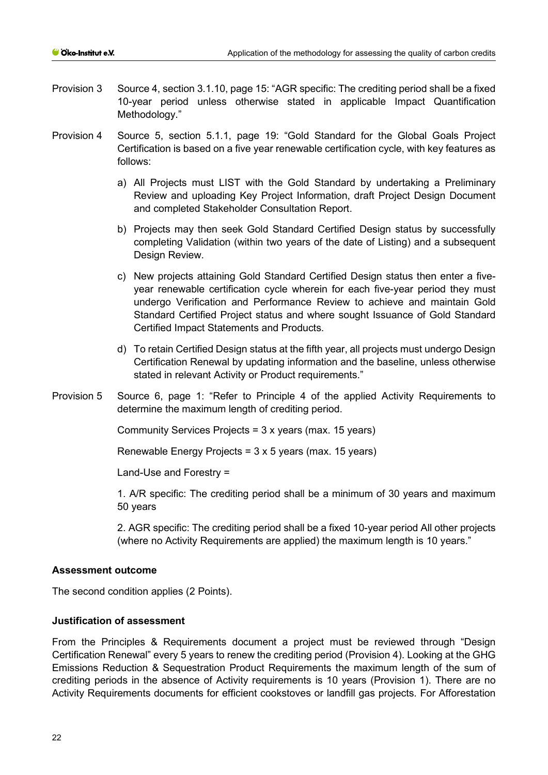- Provision 3 Source 4, section 3.1.10, page 15: "AGR specific: The crediting period shall be a fixed 10-year period unless otherwise stated in applicable Impact Quantification Methodology."
- Provision 4 Source 5, section 5.1.1, page 19: "Gold Standard for the Global Goals Project Certification is based on a five year renewable certification cycle, with key features as follows:
	- a) All Projects must LIST with the Gold Standard by undertaking a Preliminary Review and uploading Key Project Information, draft Project Design Document and completed Stakeholder Consultation Report.
	- b) Projects may then seek Gold Standard Certified Design status by successfully completing Validation (within two years of the date of Listing) and a subsequent Design Review.
	- c) New projects attaining Gold Standard Certified Design status then enter a fiveyear renewable certification cycle wherein for each five-year period they must undergo Verification and Performance Review to achieve and maintain Gold Standard Certified Project status and where sought Issuance of Gold Standard Certified Impact Statements and Products.
	- d) To retain Certified Design status at the fifth year, all projects must undergo Design Certification Renewal by updating information and the baseline, unless otherwise stated in relevant Activity or Product requirements."
- Provision 5 Source 6, page 1: "Refer to Principle 4 of the applied Activity Requirements to determine the maximum length of crediting period.

Community Services Projects = 3 x years (max. 15 years)

Renewable Energy Projects = 3 x 5 years (max. 15 years)

Land-Use and Forestry =

1. A/R specific: The crediting period shall be a minimum of 30 years and maximum 50 years

2. AGR specific: The crediting period shall be a fixed 10-year period All other projects (where no Activity Requirements are applied) the maximum length is 10 years."

#### **Assessment outcome**

The second condition applies (2 Points).

### **Justification of assessment**

From the Principles & Requirements document a project must be reviewed through "Design Certification Renewal" every 5 years to renew the crediting period (Provision 4). Looking at the GHG Emissions Reduction & Sequestration Product Requirements the maximum length of the sum of crediting periods in the absence of Activity requirements is 10 years (Provision 1). There are no Activity Requirements documents for efficient cookstoves or landfill gas projects. For Afforestation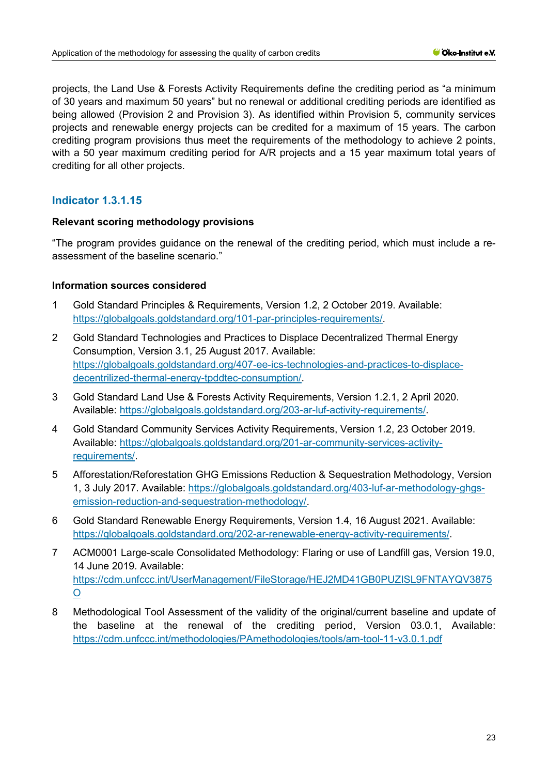projects, the Land Use & Forests Activity Requirements define the crediting period as "a minimum of 30 years and maximum 50 years" but no renewal or additional crediting periods are identified as being allowed (Provision 2 and Provision 3). As identified within Provision 5, community services projects and renewable energy projects can be credited for a maximum of 15 years. The carbon crediting program provisions thus meet the requirements of the methodology to achieve 2 points, with a 50 year maximum crediting period for A/R projects and a 15 year maximum total years of crediting for all other projects.

# **Indicator 1.3.1.15**

# **Relevant scoring methodology provisions**

"The program provides guidance on the renewal of the crediting period, which must include a reassessment of the baseline scenario."

### **Information sources considered**

- 1 Gold Standard Principles & Requirements, Version 1.2, 2 October 2019. Available: [https://globalgoals.goldstandard.org/101-par-principles-requirements/.](https://globalgoals.goldstandard.org/101-par-principles-requirements/)
- 2 Gold Standard Technologies and Practices to Displace Decentralized Thermal Energy Consumption, Version 3.1, 25 August 2017. Available: [https://globalgoals.goldstandard.org/407-ee-ics-technologies-and-practices-to-displace](https://globalgoals.goldstandard.org/407-ee-ics-technologies-and-practices-to-displace-decentrilized-thermal-energy-tpddtec-consumption/)[decentrilized-thermal-energy-tpddtec-consumption/.](https://globalgoals.goldstandard.org/407-ee-ics-technologies-and-practices-to-displace-decentrilized-thermal-energy-tpddtec-consumption/)
- 3 Gold Standard Land Use & Forests Activity Requirements, Version 1.2.1, 2 April 2020. Available: [https://globalgoals.goldstandard.org/203-ar-luf-activity-requirements/.](https://globalgoals.goldstandard.org/203-ar-luf-activity-requirements/)
- 4 Gold Standard Community Services Activity Requirements, Version 1.2, 23 October 2019. Available: [https://globalgoals.goldstandard.org/201-ar-community-services-activity](https://globalgoals.goldstandard.org/201-ar-community-services-activity-requirements/)[requirements/.](https://globalgoals.goldstandard.org/201-ar-community-services-activity-requirements/)
- 5 Afforestation/Reforestation GHG Emissions Reduction & Sequestration Methodology, Version 1, 3 July 2017. Available: [https://globalgoals.goldstandard.org/403-luf-ar-methodology-ghgs](https://globalgoals.goldstandard.org/403-luf-ar-methodology-ghgs-emission-reduction-and-sequestration-methodology/)[emission-reduction-and-sequestration-methodology/.](https://globalgoals.goldstandard.org/403-luf-ar-methodology-ghgs-emission-reduction-and-sequestration-methodology/)
- 6 Gold Standard Renewable Energy Requirements, Version 1.4, 16 August 2021. Available: [https://globalgoals.goldstandard.org/202-ar-renewable-energy-activity-requirements/.](https://globalgoals.goldstandard.org/202-ar-renewable-energy-activity-requirements/)
- 7 ACM0001 Large-scale Consolidated Methodology: Flaring or use of Landfill gas, Version 19.0, 14 June 2019. Available: [https://cdm.unfccc.int/UserManagement/FileStorage/HEJ2MD41GB0PUZISL9FNTAYQV3875](https://cdm.unfccc.int/UserManagement/FileStorage/HEJ2MD41GB0PUZISL9FNTAYQV3875O) [O](https://cdm.unfccc.int/UserManagement/FileStorage/HEJ2MD41GB0PUZISL9FNTAYQV3875O)
- 8 Methodological Tool Assessment of the validity of the original/current baseline and update of the baseline at the renewal of the crediting period, Version 03.0.1, Available: <https://cdm.unfccc.int/methodologies/PAmethodologies/tools/am-tool-11-v3.0.1.pdf>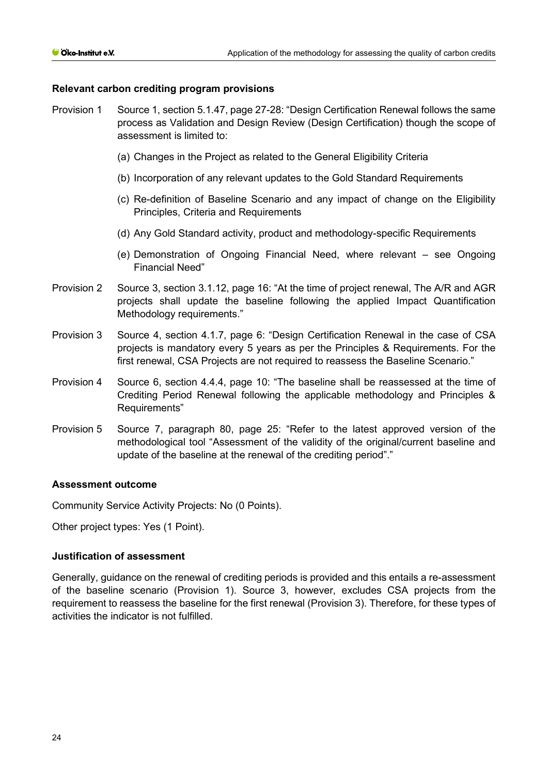## **Relevant carbon crediting program provisions**

- Provision 1 Source 1, section 5.1.47, page 27-28: "Design Certification Renewal follows the same process as Validation and Design Review (Design Certification) though the scope of assessment is limited to:
	- (a) Changes in the Project as related to the General Eligibility Criteria
	- (b) Incorporation of any relevant updates to the Gold Standard Requirements
	- (c) Re-definition of Baseline Scenario and any impact of change on the Eligibility Principles, Criteria and Requirements
	- (d) Any Gold Standard activity, product and methodology-specific Requirements
	- (e) Demonstration of Ongoing Financial Need, where relevant see Ongoing Financial Need"
- Provision 2 Source 3, section 3.1.12, page 16: "At the time of project renewal, The A/R and AGR projects shall update the baseline following the applied Impact Quantification Methodology requirements."
- Provision 3 Source 4, section 4.1.7, page 6: "Design Certification Renewal in the case of CSA projects is mandatory every 5 years as per the Principles & Requirements. For the first renewal, CSA Projects are not required to reassess the Baseline Scenario."
- Provision 4 Source 6, section 4.4.4, page 10: "The baseline shall be reassessed at the time of Crediting Period Renewal following the applicable methodology and Principles & Requirements"
- Provision 5 Source 7, paragraph 80, page 25: "Refer to the latest approved version of the methodological tool "Assessment of the validity of the original/current baseline and update of the baseline at the renewal of the crediting period"."

#### **Assessment outcome**

Community Service Activity Projects: No (0 Points).

Other project types: Yes (1 Point).

# **Justification of assessment**

Generally, guidance on the renewal of crediting periods is provided and this entails a re-assessment of the baseline scenario (Provision 1). Source 3, however, excludes CSA projects from the requirement to reassess the baseline for the first renewal (Provision 3). Therefore, for these types of activities the indicator is not fulfilled.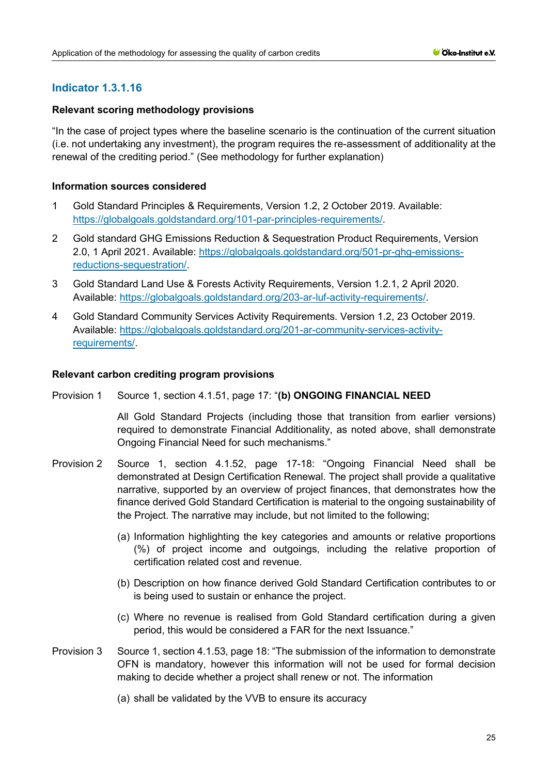# **Indicator 1.3.1.16**

# **Relevant scoring methodology provisions**

"In the case of project types where the baseline scenario is the continuation of the current situation (i.e. not undertaking any investment), the program requires the re-assessment of additionality at the renewal of the crediting period." (See methodology for further explanation)

## **Information sources considered**

- 1 Gold Standard Principles & Requirements, Version 1.2, 2 October 2019. Available: [https://globalgoals.goldstandard.org/101-par-principles-requirements/.](https://globalgoals.goldstandard.org/101-par-principles-requirements/)
- 2 Gold standard GHG Emissions Reduction & Sequestration Product Requirements, Version 2.0, 1 April 2021. Available: [https://globalgoals.goldstandard.org/501-pr-ghg-emissions](https://globalgoals.goldstandard.org/501-pr-ghg-emissions-reductions-sequestration/)[reductions-sequestration/.](https://globalgoals.goldstandard.org/501-pr-ghg-emissions-reductions-sequestration/)
- 3 Gold Standard Land Use & Forests Activity Requirements, Version 1.2.1, 2 April 2020. Available: [https://globalgoals.goldstandard.org/203-ar-luf-activity-requirements/.](https://globalgoals.goldstandard.org/203-ar-luf-activity-requirements/)
- 4 Gold Standard Community Services Activity Requirements. Version 1.2, 23 October 2019. Available: [https://globalgoals.goldstandard.org/201-ar-community-services-activity](https://globalgoals.goldstandard.org/201-ar-community-services-activity-requirements/)[requirements/.](https://globalgoals.goldstandard.org/201-ar-community-services-activity-requirements/)

### **Relevant carbon crediting program provisions**

Provision 1 Source 1, section 4.1.51, page 17: "**(b) ONGOING FINANCIAL NEED**

All Gold Standard Projects (including those that transition from earlier versions) required to demonstrate Financial Additionality, as noted above, shall demonstrate Ongoing Financial Need for such mechanisms."

- Provision 2 Source 1, section 4.1.52, page 17-18: "Ongoing Financial Need shall be demonstrated at Design Certification Renewal. The project shall provide a qualitative narrative, supported by an overview of project finances, that demonstrates how the finance derived Gold Standard Certification is material to the ongoing sustainability of the Project. The narrative may include, but not limited to the following;
	- (a) Information highlighting the key categories and amounts or relative proportions (%) of project income and outgoings, including the relative proportion of certification related cost and revenue.
	- (b) Description on how finance derived Gold Standard Certification contributes to or is being used to sustain or enhance the project.
	- (c) Where no revenue is realised from Gold Standard certification during a given period, this would be considered a FAR for the next Issuance."
- Provision 3 Source 1, section 4.1.53, page 18: "The submission of the information to demonstrate OFN is mandatory, however this information will not be used for formal decision making to decide whether a project shall renew or not. The information
	- (a) shall be validated by the VVB to ensure its accuracy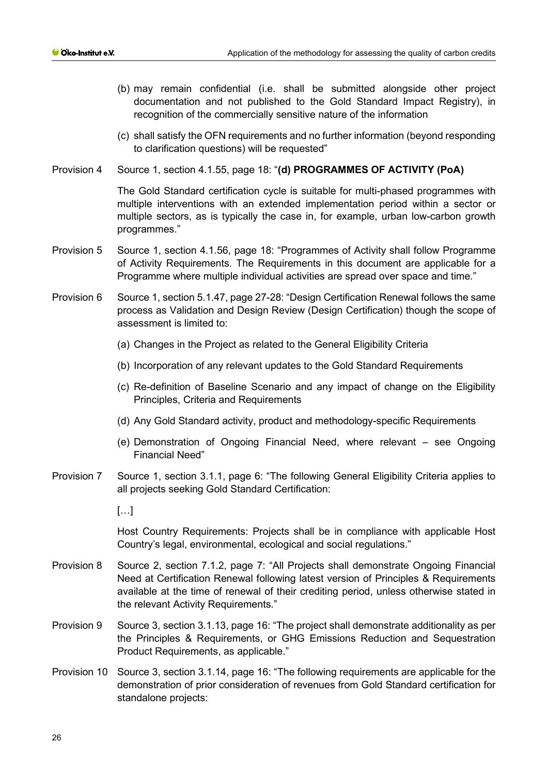- (b) may remain confidential (i.e. shall be submitted alongside other project documentation and not published to the Gold Standard Impact Registry), in recognition of the commercially sensitive nature of the information
- (c) shall satisfy the OFN requirements and no further information (beyond responding to clarification questions) will be requested"
- Provision 4 Source 1, section 4.1.55, page 18: "**(d) PROGRAMMES OF ACTIVITY (PoA)**

The Gold Standard certification cycle is suitable for multi-phased programmes with multiple interventions with an extended implementation period within a sector or multiple sectors, as is typically the case in, for example, urban low-carbon growth programmes."

- Provision 5 Source 1, section 4.1.56, page 18: "Programmes of Activity shall follow Programme of Activity Requirements. The Requirements in this document are applicable for a Programme where multiple individual activities are spread over space and time."
- Provision 6 Source 1, section 5.1.47, page 27-28: "Design Certification Renewal follows the same process as Validation and Design Review (Design Certification) though the scope of assessment is limited to:
	- (a) Changes in the Project as related to the General Eligibility Criteria
	- (b) Incorporation of any relevant updates to the Gold Standard Requirements
	- (c) Re-definition of Baseline Scenario and any impact of change on the Eligibility Principles, Criteria and Requirements
	- (d) Any Gold Standard activity, product and methodology-specific Requirements
	- (e) Demonstration of Ongoing Financial Need, where relevant see Ongoing Financial Need"
- Provision 7 Source 1, section 3.1.1, page 6: "The following General Eligibility Criteria applies to all projects seeking Gold Standard Certification:

 $\lceil$ ...]

Host Country Requirements: Projects shall be in compliance with applicable Host Country's legal, environmental, ecological and social regulations."

- Provision 8 Source 2, section 7.1.2, page 7: "All Projects shall demonstrate Ongoing Financial Need at Certification Renewal following latest version of Principles & Requirements available at the time of renewal of their crediting period, unless otherwise stated in the relevant Activity Requirements."
- Provision 9 Source 3, section 3.1.13, page 16: "The project shall demonstrate additionality as per the Principles & Requirements, or GHG Emissions Reduction and Sequestration Product Requirements, as applicable."
- Provision 10 Source 3, section 3.1.14, page 16: "The following requirements are applicable for the demonstration of prior consideration of revenues from Gold Standard certification for standalone projects: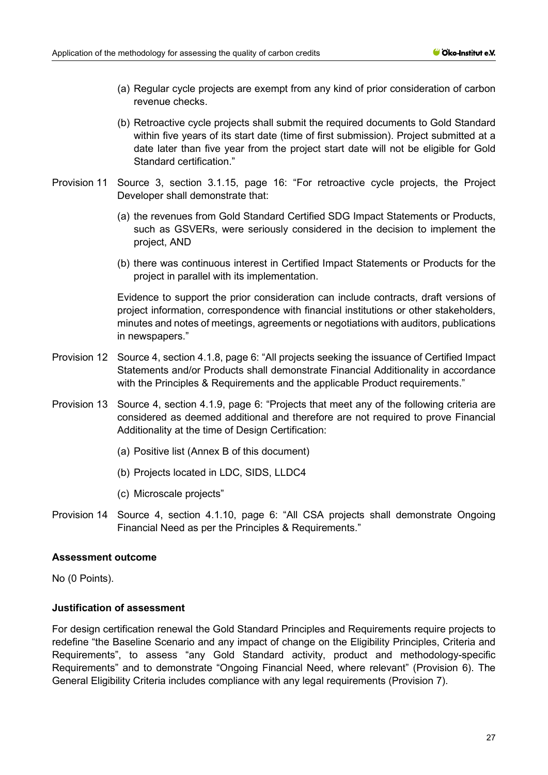- (a) Regular cycle projects are exempt from any kind of prior consideration of carbon revenue checks.
- (b) Retroactive cycle projects shall submit the required documents to Gold Standard within five years of its start date (time of first submission). Project submitted at a date later than five year from the project start date will not be eligible for Gold Standard certification."
- Provision 11 Source 3, section 3.1.15, page 16: "For retroactive cycle projects, the Project Developer shall demonstrate that:
	- (a) the revenues from Gold Standard Certified SDG Impact Statements or Products, such as GSVERs, were seriously considered in the decision to implement the project, AND
	- (b) there was continuous interest in Certified Impact Statements or Products for the project in parallel with its implementation.

Evidence to support the prior consideration can include contracts, draft versions of project information, correspondence with financial institutions or other stakeholders, minutes and notes of meetings, agreements or negotiations with auditors, publications in newspapers."

- Provision 12 Source 4, section 4.1.8, page 6: "All projects seeking the issuance of Certified Impact Statements and/or Products shall demonstrate Financial Additionality in accordance with the Principles & Requirements and the applicable Product requirements."
- Provision 13 Source 4, section 4.1.9, page 6: "Projects that meet any of the following criteria are considered as deemed additional and therefore are not required to prove Financial Additionality at the time of Design Certification:
	- (a) Positive list (Annex B of this document)
	- (b) Projects located in LDC, SIDS, LLDC4
	- (c) Microscale projects"
- Provision 14 Source 4, section 4.1.10, page 6: "All CSA projects shall demonstrate Ongoing Financial Need as per the Principles & Requirements."

#### **Assessment outcome**

No (0 Points).

# **Justification of assessment**

For design certification renewal the Gold Standard Principles and Requirements require projects to redefine "the Baseline Scenario and any impact of change on the Eligibility Principles, Criteria and Requirements", to assess "any Gold Standard activity, product and methodology-specific Requirements" and to demonstrate "Ongoing Financial Need, where relevant" (Provision 6). The General Eligibility Criteria includes compliance with any legal requirements (Provision 7).